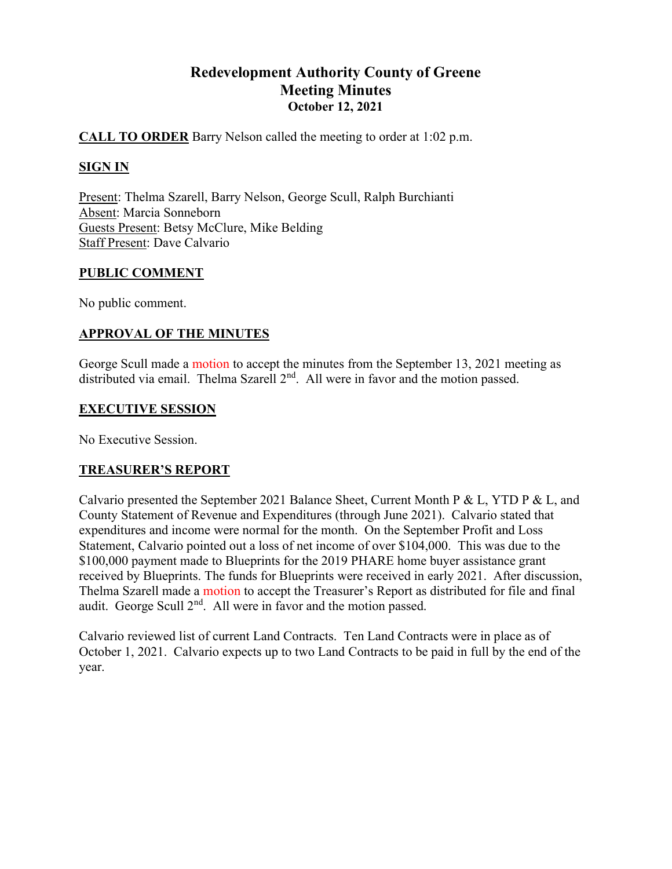# Redevelopment Authority County of Greene Meeting Minutes October 12, 2021

# CALL TO ORDER Barry Nelson called the meeting to order at 1:02 p.m.

# SIGN IN

Present: Thelma Szarell, Barry Nelson, George Scull, Ralph Burchianti Absent: Marcia Sonneborn Guests Present: Betsy McClure, Mike Belding Staff Present: Dave Calvario

# PUBLIC COMMENT

No public comment.

# APPROVAL OF THE MINUTES

George Scull made a motion to accept the minutes from the September 13, 2021 meeting as distributed via email. Thelma Szarell  $2<sup>nd</sup>$ . All were in favor and the motion passed.

# EXECUTIVE SESSION

No Executive Session.

# TREASURER'S REPORT

Calvario presented the September 2021 Balance Sheet, Current Month P & L, YTD P & L, and County Statement of Revenue and Expenditures (through June 2021). Calvario stated that expenditures and income were normal for the month. On the September Profit and Loss Statement, Calvario pointed out a loss of net income of over \$104,000. This was due to the \$100,000 payment made to Blueprints for the 2019 PHARE home buyer assistance grant received by Blueprints. The funds for Blueprints were received in early 2021. After discussion, Thelma Szarell made a motion to accept the Treasurer's Report as distributed for file and final audit. George Scull  $2<sup>nd</sup>$ . All were in favor and the motion passed.

Calvario reviewed list of current Land Contracts. Ten Land Contracts were in place as of October 1, 2021. Calvario expects up to two Land Contracts to be paid in full by the end of the year.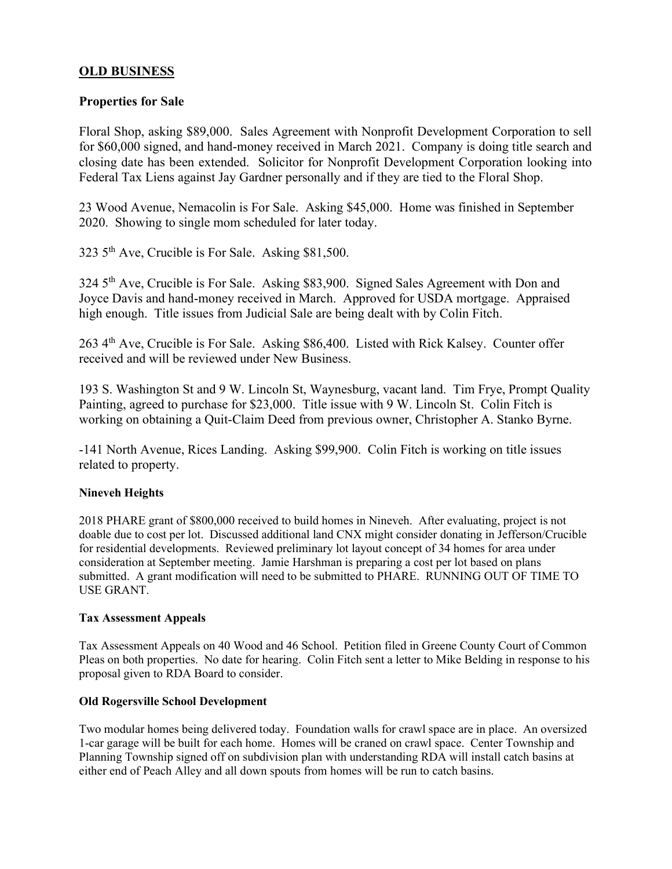# OLD BUSINESS

#### Properties for Sale

Floral Shop, asking \$89,000. Sales Agreement with Nonprofit Development Corporation to sell for \$60,000 signed, and hand-money received in March 2021. Company is doing title search and closing date has been extended. Solicitor for Nonprofit Development Corporation looking into Federal Tax Liens against Jay Gardner personally and if they are tied to the Floral Shop.

23 Wood Avenue, Nemacolin is For Sale. Asking \$45,000. Home was finished in September 2020. Showing to single mom scheduled for later today.

323 5th Ave, Crucible is For Sale. Asking \$81,500.

324 5<sup>th</sup> Ave, Crucible is For Sale. Asking \$83,900. Signed Sales Agreement with Don and Joyce Davis and hand-money received in March. Approved for USDA mortgage. Appraised high enough. Title issues from Judicial Sale are being dealt with by Colin Fitch.

263 4th Ave, Crucible is For Sale. Asking \$86,400. Listed with Rick Kalsey. Counter offer received and will be reviewed under New Business.

193 S. Washington St and 9 W. Lincoln St, Waynesburg, vacant land. Tim Frye, Prompt Quality Painting, agreed to purchase for \$23,000. Title issue with 9 W. Lincoln St. Colin Fitch is working on obtaining a Quit-Claim Deed from previous owner, Christopher A. Stanko Byrne.

-141 North Avenue, Rices Landing. Asking \$99,900. Colin Fitch is working on title issues related to property.

#### Nineveh Heights

2018 PHARE grant of \$800,000 received to build homes in Nineveh. After evaluating, project is not doable due to cost per lot. Discussed additional land CNX might consider donating in Jefferson/Crucible for residential developments. Reviewed preliminary lot layout concept of 34 homes for area under consideration at September meeting. Jamie Harshman is preparing a cost per lot based on plans submitted. A grant modification will need to be submitted to PHARE. RUNNING OUT OF TIME TO USE GRANT.

#### Tax Assessment Appeals

Tax Assessment Appeals on 40 Wood and 46 School. Petition filed in Greene County Court of Common Pleas on both properties. No date for hearing. Colin Fitch sent a letter to Mike Belding in response to his proposal given to RDA Board to consider.

#### Old Rogersville School Development

Two modular homes being delivered today. Foundation walls for crawl space are in place. An oversized 1-car garage will be built for each home. Homes will be craned on crawl space. Center Township and Planning Township signed off on subdivision plan with understanding RDA will install catch basins at either end of Peach Alley and all down spouts from homes will be run to catch basins.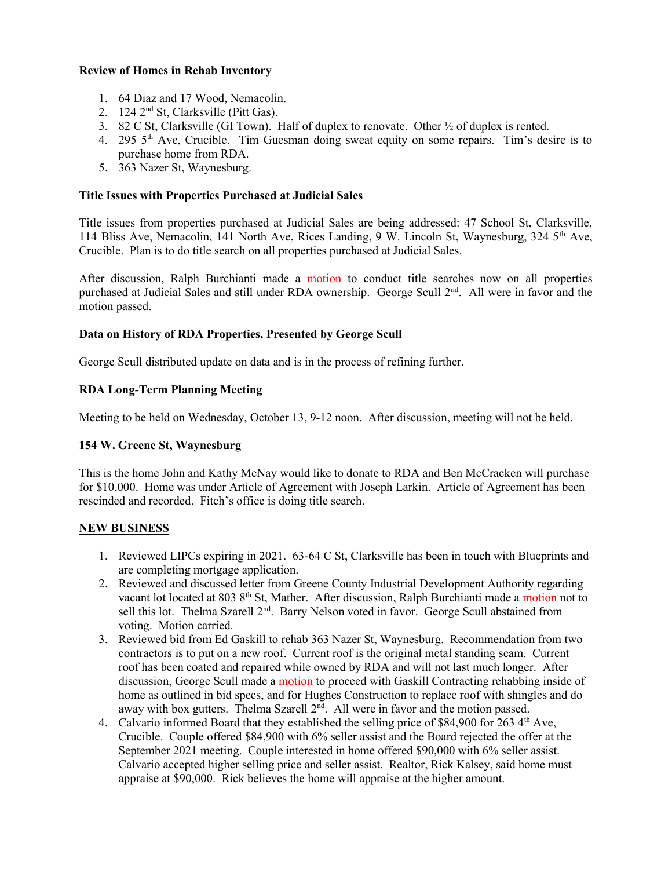#### Review of Homes in Rehab Inventory

- 1. 64 Diaz and 17 Wood, Nemacolin.
- 2. 124 2nd St, Clarksville (Pitt Gas).
- 3. 82 C St, Clarksville (GI Town). Half of duplex to renovate. Other  $\frac{1}{2}$  of duplex is rented.
- 4. 295 5<sup>th</sup> Ave, Crucible. Tim Guesman doing sweat equity on some repairs. Tim's desire is to purchase home from RDA.
- 5. 363 Nazer St, Waynesburg.

#### Title Issues with Properties Purchased at Judicial Sales

Title issues from properties purchased at Judicial Sales are being addressed: 47 School St, Clarksville, 114 Bliss Ave, Nemacolin, 141 North Ave, Rices Landing, 9 W. Lincoln St, Waynesburg, 324 5th Ave, Crucible. Plan is to do title search on all properties purchased at Judicial Sales.

After discussion, Ralph Burchianti made a motion to conduct title searches now on all properties purchased at Judicial Sales and still under RDA ownership. George Scull 2<sup>nd</sup>. All were in favor and the motion passed.

#### Data on History of RDA Properties, Presented by George Scull

George Scull distributed update on data and is in the process of refining further.

#### RDA Long-Term Planning Meeting

Meeting to be held on Wednesday, October 13, 9-12 noon. After discussion, meeting will not be held.

#### 154 W. Greene St, Waynesburg

This is the home John and Kathy McNay would like to donate to RDA and Ben McCracken will purchase for \$10,000. Home was under Article of Agreement with Joseph Larkin. Article of Agreement has been rescinded and recorded. Fitch's office is doing title search.

#### NEW BUSINESS

- 1. Reviewed LIPCs expiring in 2021. 63-64 C St, Clarksville has been in touch with Blueprints and are completing mortgage application.
- 2. Reviewed and discussed letter from Greene County Industrial Development Authority regarding vacant lot located at 803 8<sup>th</sup> St, Mather. After discussion, Ralph Burchianti made a motion not to sell this lot. Thelma Szarell 2<sup>nd</sup>. Barry Nelson voted in favor. George Scull abstained from voting. Motion carried.
- 3. Reviewed bid from Ed Gaskill to rehab 363 Nazer St, Waynesburg. Recommendation from two contractors is to put on a new roof. Current roof is the original metal standing seam. Current roof has been coated and repaired while owned by RDA and will not last much longer. After discussion, George Scull made a motion to proceed with Gaskill Contracting rehabbing inside of home as outlined in bid specs, and for Hughes Construction to replace roof with shingles and do away with box gutters. Thelma Szarell  $2<sup>nd</sup>$ . All were in favor and the motion passed.
- 4. Calvario informed Board that they established the selling price of \$84,900 for 263  $4<sup>th</sup>$  Ave, Crucible. Couple offered \$84,900 with 6% seller assist and the Board rejected the offer at the September 2021 meeting. Couple interested in home offered \$90,000 with 6% seller assist. Calvario accepted higher selling price and seller assist. Realtor, Rick Kalsey, said home must appraise at \$90,000. Rick believes the home will appraise at the higher amount.